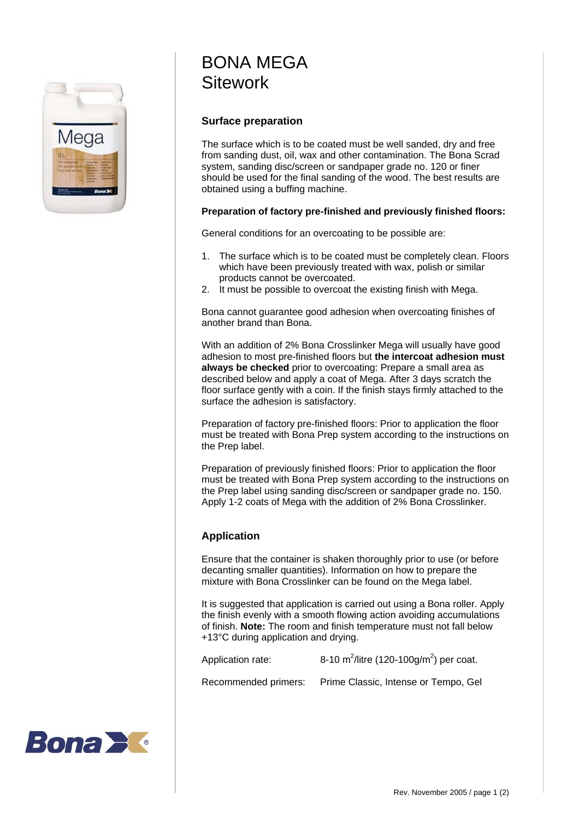

## BONA MEGA **Sitework**

## **Surface preparation**

The surface which is to be coated must be well sanded, dry and free from sanding dust, oil, wax and other contamination. The Bona Scrad system, sanding disc/screen or sandpaper grade no. 120 or finer should be used for the final sanding of the wood. The best results are obtained using a buffing machine.

## **Preparation of factory pre-finished and previously finished floors:**

General conditions for an overcoating to be possible are:

- 1. The surface which is to be coated must be completely clean. Floors which have been previously treated with wax, polish or similar products cannot be overcoated.
- 2. It must be possible to overcoat the existing finish with Mega.

Bona cannot guarantee good adhesion when overcoating finishes of another brand than Bona.

With an addition of 2% Bona Crosslinker Mega will usually have good adhesion to most pre-finished floors but **the intercoat adhesion must always be checked** prior to overcoating: Prepare a small area as described below and apply a coat of Mega. After 3 days scratch the floor surface gently with a coin. If the finish stays firmly attached to the surface the adhesion is satisfactory.

Preparation of factory pre-finished floors: Prior to application the floor must be treated with Bona Prep system according to the instructions on the Prep label.

Preparation of previously finished floors: Prior to application the floor must be treated with Bona Prep system according to the instructions on the Prep label using sanding disc/screen or sandpaper grade no. 150. Apply 1-2 coats of Mega with the addition of 2% Bona Crosslinker.

## **Application**

Ensure that the container is shaken thoroughly prior to use (or before decanting smaller quantities). Information on how to prepare the mixture with Bona Crosslinker can be found on the Mega label.

It is suggested that application is carried out using a Bona roller. Apply the finish evenly with a smooth flowing action avoiding accumulations of finish. **Note:** The room and finish temperature must not fall below +13°C during application and drying.

Application rate: /litre (120-100g/m<sup>2</sup>) per coat.

Recommended primers: Prime Classic, Intense or Tempo, Gel